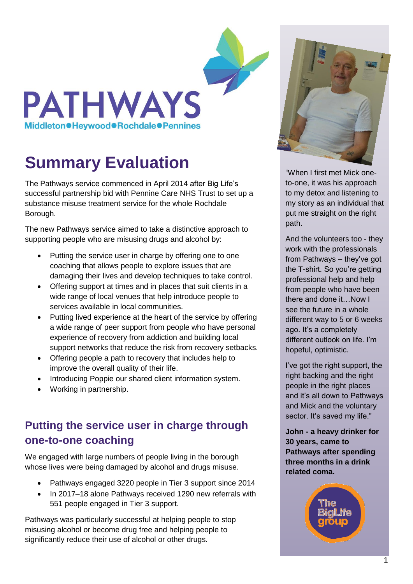

# **Summary Evaluation**

The Pathways service commenced in April 2014 after Big Life's successful partnership bid with Pennine Care NHS Trust to set up a substance misuse treatment service for the whole Rochdale Borough.

The new Pathways service aimed to take a distinctive approach to supporting people who are misusing drugs and alcohol by:

- Putting the service user in charge by offering one to one coaching that allows people to explore issues that are damaging their lives and develop techniques to take control.
- Offering support at times and in places that suit clients in a wide range of local venues that help introduce people to services available in local communities.
- Putting lived experience at the heart of the service by offering a wide range of peer support from people who have personal experience of recovery from addiction and building local support networks that reduce the risk from recovery setbacks.
- Offering people a path to recovery that includes help to improve the overall quality of their life.
- Introducing Poppie our shared client information system.
- Working in partnership.

## **Putting the service user in charge through one-to-one coaching**

We engaged with large numbers of people living in the borough whose lives were being damaged by alcohol and drugs misuse.

- Pathways engaged 3220 people in Tier 3 support since 2014
- In 2017–18 alone Pathways received 1290 new referrals with 551 people engaged in Tier 3 support.

Pathways was particularly successful at helping people to stop misusing alcohol or become drug free and helping people to significantly reduce their use of alcohol or other drugs.



"When I first met Mick oneto-one, it was his approach to my detox and listening to my story as an individual that put me straight on the right path.

And the volunteers too - they work with the professionals from Pathways – they've got the T-shirt. So you're getting professional help and help from people who have been there and done it…Now I see the future in a whole different way to 5 or 6 weeks ago. It's a completely different outlook on life. I'm hopeful, optimistic.

I've got the right support, the right backing and the right people in the right places and it's all down to Pathways and Mick and the voluntary sector. It's saved my life."

**John - a heavy drinker for 30 years, came to Pathways after spending three months in a drink related coma.**

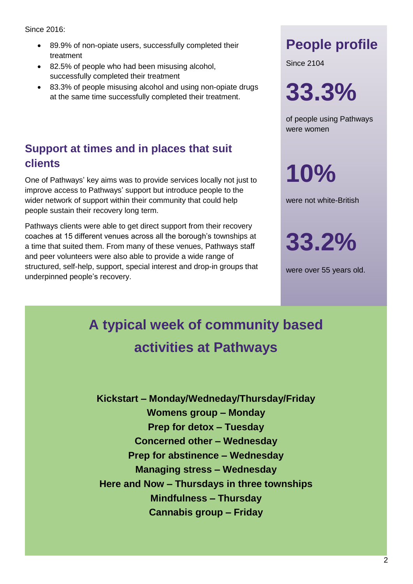#### Since 2016:

- 89.9% of non-opiate users, successfully completed their treatment
- 82.5% of people who had been misusing alcohol, successfully completed their treatment
- 83.3% of people misusing alcohol and using non-opiate drugs at the same time successfully completed their treatment.

#### **Support at times and in places that suit clients**

One of Pathways' key aims was to provide services locally not just to improve access to Pathways' support but introduce people to the wider network of support within their community that could help people sustain their recovery long term.

Pathways clients were able to get direct support from their recovery coaches at 15 different venues across all the borough's townships at a time that suited them. From many of these venues, Pathways staff and peer volunteers were also able to provide a wide range of structured, self-help, support, special interest and drop-in groups that underpinned people's recovery.

# **People profile**

Since 2104

**33.3%** 

of people using Pathways were women

**10%** 

were not white-British

**33.2%** 

were over 55 years old.

# **A typical week of community based activities at Pathways**

**Kickstart – Monday/Wedneday/Thursday/Friday Womens group – Monday Prep for detox – Tuesday Concerned other – Wednesday Prep for abstinence – Wednesday Managing stress – Wednesday Here and Now – Thursdays in three townships Mindfulness – Thursday Cannabis group – Friday**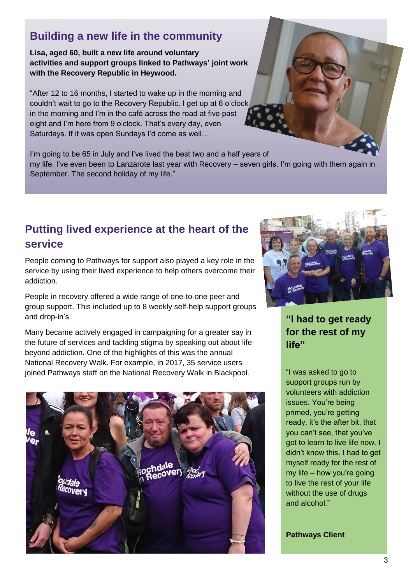#### **Building a new life in the community**

**Lisa, aged 60, built a new life around voluntary activities and support groups linked to Pathways' joint work with the Recovery Republic in Heywood.**

"After 12 to 16 months, I started to wake up in the morning and couldn't wait to go to the Recovery Republic. I get up at 6 o'clock in the morning and I'm in the café across the road at five past eight and I'm here from 9 o'clock. That's every day, even Saturdays. If it was open Sundays I'd come as well…

I'm going to be 65 in July and I've lived the best two and a half years of my life. I've even been to Lanzarote last year with Recovery – seven girls. I'm going with them again in September. The second holiday of my life."

#### **Putting lived experience at the heart of the service**

People coming to Pathways for support also played a key role in the service by using their lived experience to help others overcome their addiction.

People in recovery offered a wide range of one-to-one peer and group support. This included up to 8 weekly self-help support groups and drop-in's.

Many became actively engaged in campaigning for a greater say in the future of services and tackling stigma by speaking out about life beyond addiction. One of the highlights of this was the annual National Recovery Walk. For example, in 2017, 35 service users joined Pathways staff on the National Recovery Walk in Blackpool.





**"I had to get ready for the rest of my life"**

"I was asked to go to support groups run by volunteers with addiction issues. You're being primed, you're getting ready, it's the after bit, that you can't see, that you've got to learn to live life now. I didn't know this. I had to get myself ready for the rest of my life – how you're going to live the rest of your life without the use of drugs and alcohol."

**Pathways Client**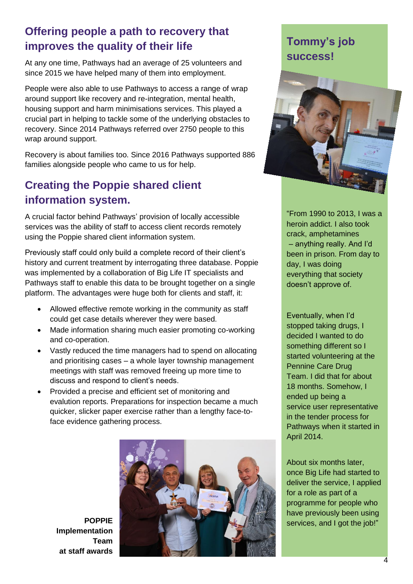#### **Offering people a path to recovery that improves the quality of their life**

At any one time, Pathways had an average of 25 volunteers and since 2015 we have helped many of them into employment.

People were also able to use Pathways to access a range of wrap around support like recovery and re-integration, mental health, housing support and harm minimisations services. This played a crucial part in helping to tackle some of the underlying obstacles to recovery. Since 2014 Pathways referred over 2750 people to this wrap around support.

Recovery is about families too. Since 2016 Pathways supported 886 families alongside people who came to us for help.

### **Creating the Poppie shared client information system.**

A crucial factor behind Pathways' provision of locally accessible services was the ability of staff to access client records remotely using the Poppie shared client information system.

Previously staff could only build a complete record of their client's history and current treatment by interrogating three database. Poppie was implemented by a collaboration of Big Life IT specialists and Pathways staff to enable this data to be brought together on a single platform. The advantages were huge both for clients and staff, it:

- Allowed effective remote working in the community as staff could get case details wherever they were based.
- Made information sharing much easier promoting co-working and co-operation.
- Vastly reduced the time managers had to spend on allocating and prioritising cases – a whole layer township management meetings with staff was removed freeing up more time to discuss and respond to client's needs.
- Provided a precise and efficient set of monitoring and evalution reports. Preparations for inspection became a much quicker, slicker paper exercise rather than a lengthy face-toface evidence gathering process.



**Implementation Team at staff awards**

## **Tommy's job success!**



"From 1990 to 2013, I was a heroin addict. I also took crack, amphetamines – anything really. And I'd been in prison. From day to day, I was doing everything that society doesn't approve of.

Eventually, when I'd stopped taking drugs, I decided I wanted to do something different so I started volunteering at the Pennine Care Drug Team. I did that for about 18 months. Somehow, I ended up being a service user representative in the tender process for Pathways when it started in April 2014.

About six months later, once Big Life had started to deliver the service, I applied for a role as part of a programme for people who have previously been using